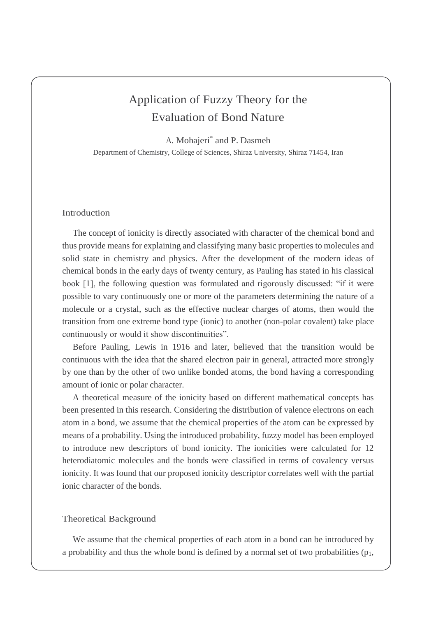## Application of Fuzzy Theory for the Evaluation of Bond Nature

A. Mohajeri\* and P. Dasmeh Department of Chemistry, College of Sciences, Shiraz University, Shiraz 71454, Iran

## Introduction

The concept of ionicity is directly associated with character of the chemical bond and thus provide means for explaining and classifying many basic properties to molecules and solid state in chemistry and physics. After the development of the modern ideas of chemical bonds in the early days of twenty century, as Pauling has stated in his classical book [1], the following question was formulated and rigorously discussed: "if it were possible to vary continuously one or more of the parameters determining the nature of a molecule or a crystal, such as the effective nuclear charges of atoms, then would the transition from one extreme bond type (ionic) to another (non-polar covalent) take place continuously or would it show discontinuities".

Before Pauling, Lewis in 1916 and later, believed that the transition would be continuous with the idea that the shared electron pair in general, attracted more strongly by one than by the other of two unlike bonded atoms, the bond having a corresponding amount of ionic or polar character.

A theoretical measure of the ionicity based on different mathematical concepts has been presented in this research. Considering the distribution of valence electrons on each atom in a bond, we assume that the chemical properties of the atom can be expressed by means of a probability. Using the introduced probability, fuzzy model has been employed to introduce new descriptors of bond ionicity. The ionicities were calculated for 12 heterodiatomic molecules and the bonds were classified in terms of covalency versus ionicity. It was found that our proposed ionicity descriptor correlates well with the partial ionic character of the bonds.

## Theoretical Background

We assume that the chemical properties of each atom in a bond can be introduced by a probability and thus the whole bond is defined by a normal set of two probabilities  $(p_1,$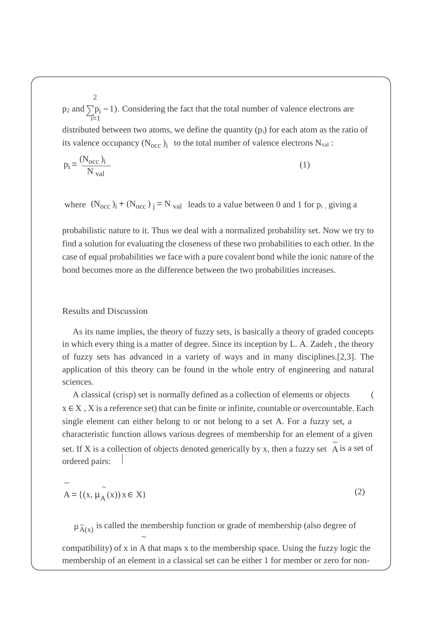2 p<sub>2</sub> and  $\sum p_i = 1$ ). Considering the fact that the total number of valence electrons are  $\overline{i}=1$ distributed between two atoms, we define the quantity  $(p_i)$  for each atom as the ratio of its valence occupancy  $(N_{\text{occ}})_i$  to the total number of valence electrons  $N_{\text{val}}$ :

$$
p_i = \frac{(N_{\text{occ}})_i}{N_{\text{val}}}
$$
 (1)

where  $(N_{\text{occ}})_i + (N_{\text{occ}})_j = N_{\text{val}}$  leads to a value between 0 and 1 for  $p_i$ , giving a

probabilistic nature to it. Thus we deal with a normalized probability set. Now we try to find a solution for evaluating the closeness of these two probabilities to each other. In the case of equal probabilities we face with a pure covalent bond while the ionic nature of the bond becomes more as the difference between the two probabilities increases.

## Results and Discussion

As its name implies, the theory of fuzzy sets, is basically a theory of graded concepts in which every thing is a matter of degree. Since its inception by L. A. Zadeh , the theory of fuzzy sets has advanced in a variety of ways and in many disciplines.[2,3]. The application of this theory can be found in the whole entry of engineering and natural sciences.

set. If X is a collection of objects denoted generically by x, then a fuzzy set  $\tilde{A}$  is a set of A classical (crisp) set is normally defined as a collection of elements or objects (  $x \in X$ , X is a reference set) that can be finite or infinite, countable or overcountable. Each single element can either belong to or not belong to a set A. For a fuzzy set, a characteristic function allows various degrees of membership for an element of a given ordered pairs:

$$
\widetilde{A} = \{ (x, \mu_{\widetilde{A}}(x)) x \in X \}
$$
\n(2)

 $\mu_{\widetilde{A}(x)}$  is called the membership function or grade of membership (also degree of  $\sim$ compatibility) of x in A that maps x to the membership space. Using the fuzzy logic the membership of an element in a classical set can be either 1 for member or zero for non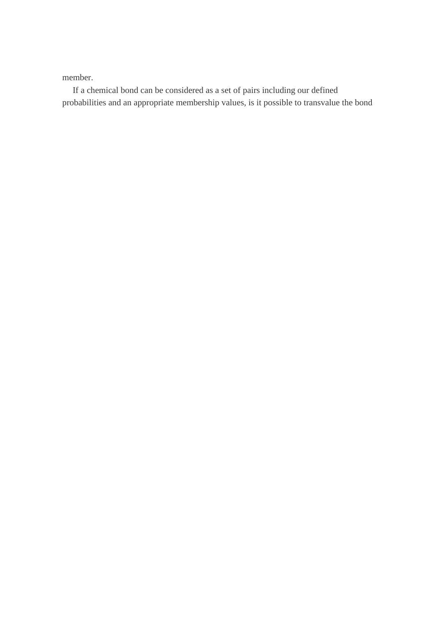member.

If a chemical bond can be considered as a set of pairs including our defined probabilities and an appropriate membership values, is it possible to transvalue the bond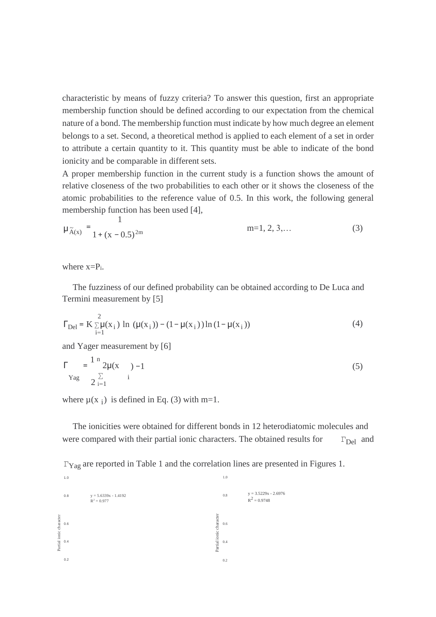characteristic by means of fuzzy criteria? To answer this question, first an appropriate membership function should be defined according to our expectation from the chemical nature of a bond. The membership function must indicate by how much degree an element belongs to a set. Second, a theoretical method is applied to each element of a set in order to attribute a certain quantity to it. This quantity must be able to indicate of the bond ionicity and be comparable in different sets.

A proper membership function in the current study is a function shows the amount of relative closeness of the two probabilities to each other or it shows the closeness of the atomic probabilities to the reference value of 0.5. In this work, the following general membership function has been used [4],

$$
\mu_{\tilde{A}(x)} = \frac{1}{1 + (x - 0.5)^{2m}}
$$
 m=1, 2, 3,... (3)

where  $x = P_i$ .

The fuzziness of our defined probability can be obtained according to De Luca and Termini measurement by [5]

$$
\Gamma_{\text{Del}} = K \sum_{i=1}^{2} \mu(x_i) \ln (\mu(x_i)) - (1 - \mu(x_i)) \ln (1 - \mu(x_i)) \tag{4}
$$

and Yager measurement by [6]

$$
\Gamma = \frac{1 \text{ m}}{2 \sum_{i=1}^{n} \text{ m}} 2\mu(x) - 1 \tag{5}
$$

where  $\mu(x_i)$  is defined in Eq. (3) with m=1.

1.0 1.0

The ionicities were obtained for different bonds in 12 heterodiatomic molecules and were compared with their partial ionic characters. The obtained results for  $\Gamma_{\text{Del}}$  and

ΓYag are reported in Table 1 and the correlation lines are presented in Figures 1.

|                         | 0.8 | $y = 5.6339x - 1.4192$<br>$R^2 = 0.977$ |                         | 0.8 | $y = 3.5229x - 2.6976$<br>$R^2 = 0.9748$ |
|-------------------------|-----|-----------------------------------------|-------------------------|-----|------------------------------------------|
| Partial ionic character | 0.6 |                                         |                         | 0.6 |                                          |
|                         | 0.4 |                                         | Partial ionic character | 0.4 |                                          |
|                         | 0.2 |                                         |                         | 0.2 |                                          |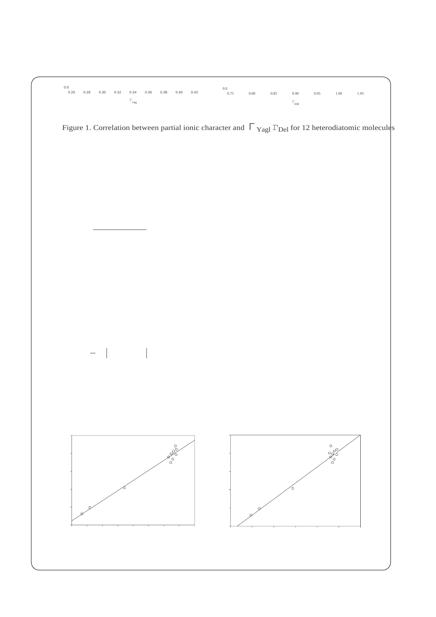